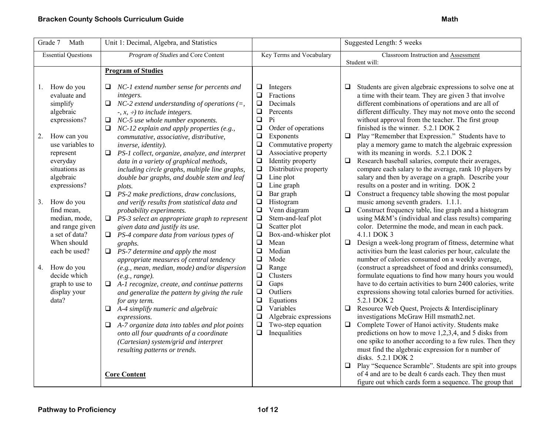| Grade $\overline{7}$<br>Math                                                                                         | Unit 1: Decimal, Algebra, and Statistics                                                                                                                                                                                                                                                                                                                                                                                                                 |                                                                                                                                                                                                                            | Suggested Length: 5 weeks                                                                                                                                                                                                                                                                                                                                                                                                                                                                                                                                                                                                                                                                                                                                                                                 |
|----------------------------------------------------------------------------------------------------------------------|----------------------------------------------------------------------------------------------------------------------------------------------------------------------------------------------------------------------------------------------------------------------------------------------------------------------------------------------------------------------------------------------------------------------------------------------------------|----------------------------------------------------------------------------------------------------------------------------------------------------------------------------------------------------------------------------|-----------------------------------------------------------------------------------------------------------------------------------------------------------------------------------------------------------------------------------------------------------------------------------------------------------------------------------------------------------------------------------------------------------------------------------------------------------------------------------------------------------------------------------------------------------------------------------------------------------------------------------------------------------------------------------------------------------------------------------------------------------------------------------------------------------|
| <b>Essential Questions</b>                                                                                           | Program of Studies and Core Content                                                                                                                                                                                                                                                                                                                                                                                                                      | Key Terms and Vocabulary                                                                                                                                                                                                   | Classroom Instruction and Assessment<br>Student will:                                                                                                                                                                                                                                                                                                                                                                                                                                                                                                                                                                                                                                                                                                                                                     |
|                                                                                                                      | <b>Program of Studies</b>                                                                                                                                                                                                                                                                                                                                                                                                                                |                                                                                                                                                                                                                            |                                                                                                                                                                                                                                                                                                                                                                                                                                                                                                                                                                                                                                                                                                                                                                                                           |
| How do you<br>1.<br>evaluate and<br>simplify<br>algebraic<br>expressions?<br>How can you<br>2.                       | $\Box$ NC-1 extend number sense for percents and<br>integers.<br>$\Box$ NC-2 extend understanding of operations (=,<br>$\div$ , $x$ , $\div$ ) to include integers.<br>NC-5 use whole number exponents.<br>$\Box$<br>NC-12 explain and apply properties (e.g.,<br>$\Box$<br>commutative, associative, distributive,                                                                                                                                      | ❏<br>Integers<br>$\Box$<br>Fractions<br>$\Box$<br>Decimals<br>$\Box$<br>Percents<br>$\Box$<br>Pi<br>$\Box$<br>Order of operations<br>$\Box$<br>Exponents                                                                   | Students are given algebraic expressions to solve one at<br>a time with their team. They are given 3 that involve<br>different combinations of operations and are all of<br>different difficulty. They may not move onto the second<br>without approval from the teacher. The first group<br>finished is the winner. 5.2.1 DOK 2<br>Play "Remember that Expression." Students have to<br>$\Box$                                                                                                                                                                                                                                                                                                                                                                                                           |
| use variables to<br>represent<br>everyday<br>situations as<br>algebraic<br>expressions?                              | inverse, identity).<br>$\Box$ PS-1 collect, organize, analyze, and interpret<br>data in a variety of graphical methods,<br>including circle graphs, multiple line graphs,<br>double bar graphs, and double stem and leaf<br>plots.                                                                                                                                                                                                                       | $\Box$<br>Commutative property<br>$\Box$<br>Associative property<br>$\Box$<br>Identity property<br>$\Box$<br>Distributive property<br>$\Box$<br>Line plot<br>$\Box$<br>Line graph<br>$\Box$<br>Bar graph                   | play a memory game to match the algebraic expression<br>with its meaning in words. 5.2.1 DOK 2<br>$\Box$ Research baseball salaries, compute their averages,<br>compare each salary to the average, rank 10 players by<br>salary and then by average on a graph. Describe your<br>results on a poster and in writing. DOK 2<br>Construct a frequency table showing the most popular<br>$\Box$                                                                                                                                                                                                                                                                                                                                                                                                             |
| How do you<br>3.<br>find mean,<br>median, mode,<br>and range given<br>a set of data?<br>When should<br>each be used? | $\Box$<br>PS-2 make predictions, draw conclusions,<br>and verify results from statistical data and<br>probability experiments.<br>PS-3 select an appropriate graph to represent<br>□<br>given data and justify its use.<br>$\Box$ PS-4 compare data from various types of<br>graphs.<br>$\Box$ PS-7 determine and apply the most<br>appropriate measures of central tendency                                                                             | $\Box$<br>Histogram<br>$\Box$<br>Venn diagram<br>$\Box$<br>Stem-and-leaf plot<br>$\Box$<br>Scatter plot<br>$\Box$<br>Box-and-whisker plot<br>$\Box$<br>Mean<br>$\Box$<br>Median<br>$\Box$<br>Mode                          | music among seventh graders. 1.1.1.<br>Construct frequency table, line graph and a histogram<br>$\Box$<br>using M&M's (individual and class results) comparing<br>color. Determine the mode, and mean in each pack.<br>4.1.1 DOK 3<br>$\Box$ Design a week-long program of fitness, determine what<br>activities burn the least calories per hour, calculate the<br>number of calories consumed on a weekly average,                                                                                                                                                                                                                                                                                                                                                                                      |
| How do you<br>4.<br>decide which<br>graph to use to<br>display your<br>data?                                         | (e.g., mean, median, mode) and/or dispersion<br>(e.g., range).<br>$\Box$ A-1 recognize, create, and continue patterns<br>and generalize the pattern by giving the rule<br>for any term.<br>$\Box$ A-4 simplify numeric and algebraic<br>expressions.<br>$\Box$ A-7 organize data into tables and plot points<br>onto all four quadrants of a coordinate<br>(Cartesian) system/grid and interpret<br>resulting patterns or trends.<br><b>Core Content</b> | $\Box$<br>Range<br>$\Box$<br>Clusters<br>$\square$<br>Gaps<br>$\Box$<br>Outliers<br>$\Box$<br>Equations<br>$\Box$<br>Variables<br>$\Box$<br>Algebraic expressions<br>$\Box$<br>Two-step equation<br>$\Box$<br>Inequalities | (construct a spreadsheet of food and drinks consumed),<br>formulate equations to find how many hours you would<br>have to do certain activities to burn 2400 calories, write<br>expressions showing total calories burned for activities.<br>5.2.1 DOK 2<br>$\Box$ Resource Web Quest, Projects & Interdisciplinary<br>investigations McGraw Hill msmath2.net.<br>$\Box$ Complete Tower of Hanoi activity. Students make<br>predictions on how to move $1,2,3,4$ , and 5 disks from<br>one spike to another according to a few rules. Then they<br>must find the algebraic expression for n number of<br>disks. 5.2.1 DOK 2<br>Play "Sequence Scramble". Students are spit into groups<br>of 4 and are to be dealt 6 cards each. They then must<br>figure out which cards form a sequence. The group that |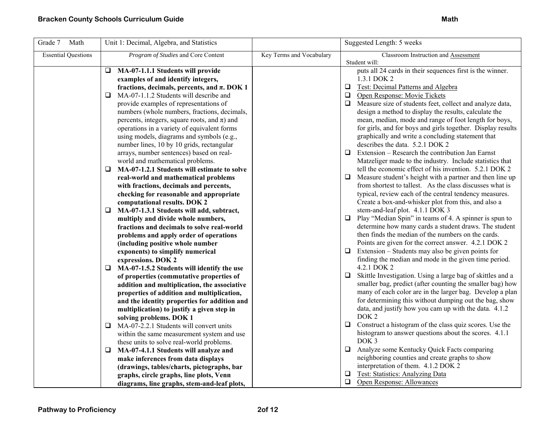| Grade 7<br>Math            | Unit 1: Decimal, Algebra, and Statistics                                      |                          | Suggested Length: 5 weeks                                                  |
|----------------------------|-------------------------------------------------------------------------------|--------------------------|----------------------------------------------------------------------------|
| <b>Essential Questions</b> | Program of Studies and Core Content                                           | Key Terms and Vocabulary | Classroom Instruction and Assessment                                       |
|                            |                                                                               |                          | Student will:<br>puts all 24 cards in their sequences first is the winner. |
|                            | MA-07-1.1.1 Students will provide<br>u.<br>examples of and identify integers, |                          | 1.3.1 DOK 2                                                                |
|                            | fractions, decimals, percents, and $\pi$ . DOK 1                              |                          | <b>Q</b> Test: Decimal Patterns and Algebra                                |
|                            | MA-07-1.1.2 Students will describe and<br>❏                                   |                          | Open Response: Movie Tickets<br>$\Box$                                     |
|                            | provide examples of representations of                                        |                          | $\Box$ Measure size of students feet, collect and analyze data,            |
|                            | numbers (whole numbers, fractions, decimals,                                  |                          | design a method to display the results, calculate the                      |
|                            | percents, integers, square roots, and $\pi$ ) and                             |                          | mean, median, mode and range of foot length for boys,                      |
|                            | operations in a variety of equivalent forms                                   |                          | for girls, and for boys and girls together. Display results                |
|                            | using models, diagrams and symbols (e.g.,                                     |                          | graphically and write a concluding statement that                          |
|                            | number lines, 10 by 10 grids, rectangular                                     |                          | describes the data. 5.2.1 DOK 2                                            |
|                            | arrays, number sentences) based on real-                                      |                          | $\Box$ Extension – Research the contribution Jan Earnst                    |
|                            | world and mathematical problems.                                              |                          | Matzeliger made to the industry. Include statistics that                   |
|                            | MA-07-1.2.1 Students will estimate to solve<br>Q                              |                          | tell the economic effect of his invention. 5.2.1 DOK 2                     |
|                            | real-world and mathematical problems                                          |                          | $\Box$<br>Measure student's height with a partner and then line up         |
|                            | with fractions, decimals and percents,                                        |                          | from shortest to tallest. As the class discusses what is                   |
|                            | checking for reasonable and appropriate                                       |                          | typical, review each of the central tendency measures.                     |
|                            | computational results. DOK 2                                                  |                          | Create a box-and-whisker plot from this, and also a                        |
|                            | MA-07-1.3.1 Students will add, subtract,<br>⊔                                 |                          | stem-and-leaf plot. 4.1.1 DOK 3                                            |
|                            | multiply and divide whole numbers,                                            |                          | $\Box$<br>Play "Median Spin" in teams of 4. A spinner is spun to           |
|                            | fractions and decimals to solve real-world                                    |                          | determine how many cards a student draws. The student                      |
|                            | problems and apply order of operations                                        |                          | then finds the median of the numbers on the cards.                         |
|                            | (including positive whole number                                              |                          | Points are given for the correct answer. 4.2.1 DOK 2                       |
|                            | exponents) to simplify numerical                                              |                          | $\Box$ Extension – Students may also be given points for                   |
|                            | expressions. DOK 2                                                            |                          | finding the median and mode in the given time period.                      |
|                            | MA-07-1.5.2 Students will identify the use<br>$\Box$                          |                          | 4.2.1 DOK 2                                                                |
|                            | of properties (commutative properties of                                      |                          | $\Box$ Skittle Investigation. Using a large bag of skittles and a          |
|                            | addition and multiplication, the associative                                  |                          | smaller bag, predict (after counting the smaller bag) how                  |
|                            | properties of addition and multiplication,                                    |                          | many of each color are in the larger bag. Develop a plan                   |
|                            | and the identity properties for addition and                                  |                          | for determining this without dumping out the bag, show                     |
|                            | multiplication) to justify a given step in                                    |                          | data, and justify how you cam up with the data. 4.1.2                      |
|                            | solving problems. DOK 1                                                       |                          | DOK <sub>2</sub>                                                           |
|                            | MA-07-2.2.1 Students will convert units<br>Q                                  |                          | $\Box$ Construct a histogram of the class quiz scores. Use the             |
|                            | within the same measurement system and use                                    |                          | histogram to answer questions about the scores. 4.1.1                      |
|                            | these units to solve real-world problems.                                     |                          | DOK <sub>3</sub>                                                           |
|                            | MA-07-4.1.1 Students will analyze and<br>⊔                                    |                          | Analyze some Kentucky Quick Facts comparing                                |
|                            | make inferences from data displays                                            |                          | neighboring counties and create graphs to show                             |
|                            | (drawings, tables/charts, pictographs, bar                                    |                          | interpretation of them. 4.1.2 DOK 2                                        |
|                            | graphs, circle graphs, line plots, Venn                                       |                          | <b>Q</b> Test: Statistics: Analyzing Data                                  |
|                            | diagrams, line graphs, stem-and-leaf plots,                                   |                          | $\Box$<br>Open Response: Allowances                                        |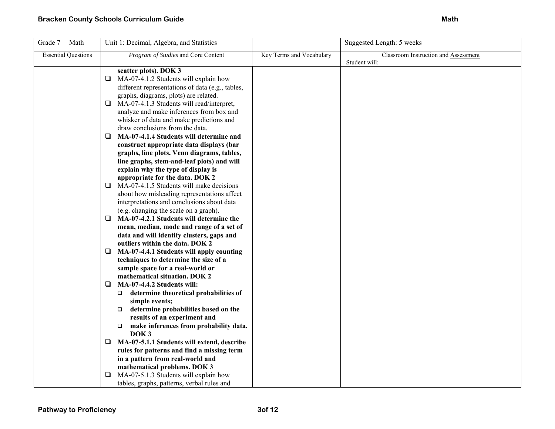| Grade 7<br>Math            | Unit 1: Decimal, Algebra, and Statistics                                                                                                                                                                                                                                                                                                                                                                                                                                                                                                                                                                                                                            |                          | Suggested Length: 5 weeks                             |
|----------------------------|---------------------------------------------------------------------------------------------------------------------------------------------------------------------------------------------------------------------------------------------------------------------------------------------------------------------------------------------------------------------------------------------------------------------------------------------------------------------------------------------------------------------------------------------------------------------------------------------------------------------------------------------------------------------|--------------------------|-------------------------------------------------------|
| <b>Essential Questions</b> | Program of Studies and Core Content                                                                                                                                                                                                                                                                                                                                                                                                                                                                                                                                                                                                                                 | Key Terms and Vocabulary | Classroom Instruction and Assessment<br>Student will: |
|                            | scatter plots). DOK 3<br>MA-07-4.1.2 Students will explain how<br>⊔<br>different representations of data (e.g., tables,<br>graphs, diagrams, plots) are related.<br>$\Box$ MA-07-4.1.3 Students will read/interpret,<br>analyze and make inferences from box and<br>whisker of data and make predictions and<br>draw conclusions from the data.<br>MA-07-4.1.4 Students will determine and<br>⊔<br>construct appropriate data displays (bar<br>graphs, line plots, Venn diagrams, tables,<br>line graphs, stem-and-leaf plots) and will<br>explain why the type of display is<br>appropriate for the data. DOK 2<br>$\Box$ MA-07-4.1.5 Students will make decisions |                          |                                                       |
|                            | about how misleading representations affect<br>interpretations and conclusions about data<br>(e.g. changing the scale on a graph).                                                                                                                                                                                                                                                                                                                                                                                                                                                                                                                                  |                          |                                                       |
|                            | MA-07-4.2.1 Students will determine the<br>□<br>mean, median, mode and range of a set of<br>data and will identify clusters, gaps and<br>outliers within the data. DOK 2                                                                                                                                                                                                                                                                                                                                                                                                                                                                                            |                          |                                                       |
|                            | MA-07-4.4.1 Students will apply counting<br>⊔<br>techniques to determine the size of a<br>sample space for a real-world or<br>mathematical situation. DOK 2<br>MA-07-4.4.2 Students will:<br>□                                                                                                                                                                                                                                                                                                                                                                                                                                                                      |                          |                                                       |
|                            | $\Box$ determine theoretical probabilities of<br>simple events;<br>determine probabilities based on the<br>$\Box$<br>results of an experiment and<br>make inferences from probability data.<br>$\Box$<br>DOK <sub>3</sub>                                                                                                                                                                                                                                                                                                                                                                                                                                           |                          |                                                       |
|                            | MA-07-5.1.1 Students will extend, describe<br>⊔<br>rules for patterns and find a missing term<br>in a pattern from real-world and                                                                                                                                                                                                                                                                                                                                                                                                                                                                                                                                   |                          |                                                       |
|                            | mathematical problems. DOK 3<br>MA-07-5.1.3 Students will explain how<br>tables, graphs, patterns, verbal rules and                                                                                                                                                                                                                                                                                                                                                                                                                                                                                                                                                 |                          |                                                       |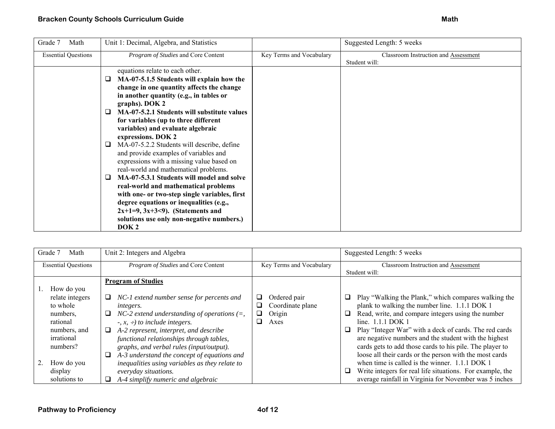| Program of Studies and Core Content<br>Key Terms and Vocabulary<br><b>Essential Questions</b><br>Classroom Instruction and Assessment<br>Student will:<br>equations relate to each other.                                                                                                                                                                                                                                                                                                                                                                                                                                                                                                                                                                                                      | Grade 7<br>Math | Unit 1: Decimal, Algebra, and Statistics | Suggested Length: 5 weeks |
|------------------------------------------------------------------------------------------------------------------------------------------------------------------------------------------------------------------------------------------------------------------------------------------------------------------------------------------------------------------------------------------------------------------------------------------------------------------------------------------------------------------------------------------------------------------------------------------------------------------------------------------------------------------------------------------------------------------------------------------------------------------------------------------------|-----------------|------------------------------------------|---------------------------|
|                                                                                                                                                                                                                                                                                                                                                                                                                                                                                                                                                                                                                                                                                                                                                                                                |                 |                                          |                           |
| MA-07-5.1.5 Students will explain how the<br>⊔<br>change in one quantity affects the change<br>in another quantity (e.g., in tables or<br>graphs). DOK 2<br>MA-07-5.2.1 Students will substitute values<br>ப<br>for variables (up to three different<br>variables) and evaluate algebraic<br>expressions. DOK 2<br>MA-07-5.2.2 Students will describe, define<br>⊔<br>and provide examples of variables and<br>expressions with a missing value based on<br>real-world and mathematical problems.<br>MA-07-5.3.1 Students will model and solve<br>❏<br>real-world and mathematical problems<br>with one- or two-step single variables, first<br>degree equations or inequalities (e.g.,<br>$2x+1=9, 3x+3<9$ . (Statements and<br>solutions use only non-negative numbers.)<br>DOK <sub>2</sub> |                 |                                          |                           |

| Grade 7<br>Math                                                                                                                                      | Unit 2: Integers and Algebra                                                                                                                                                                                                                                                                                                                                                                                                                                                                                       |                                                              | Suggested Length: 5 weeks                                                                                                                                                                                                                                                                                                                                                                                                                                                                                                                                                                                                 |
|------------------------------------------------------------------------------------------------------------------------------------------------------|--------------------------------------------------------------------------------------------------------------------------------------------------------------------------------------------------------------------------------------------------------------------------------------------------------------------------------------------------------------------------------------------------------------------------------------------------------------------------------------------------------------------|--------------------------------------------------------------|---------------------------------------------------------------------------------------------------------------------------------------------------------------------------------------------------------------------------------------------------------------------------------------------------------------------------------------------------------------------------------------------------------------------------------------------------------------------------------------------------------------------------------------------------------------------------------------------------------------------------|
| <b>Essential Questions</b>                                                                                                                           | Program of Studies and Core Content                                                                                                                                                                                                                                                                                                                                                                                                                                                                                | Key Terms and Vocabulary                                     | Classroom Instruction and Assessment<br>Student will:                                                                                                                                                                                                                                                                                                                                                                                                                                                                                                                                                                     |
| How do you<br>relate integers<br>to whole<br>numbers,<br>rational<br>numbers, and<br>irrational<br>numbers?<br>How do you<br>display<br>solutions to | <b>Program of Studies</b><br>NC-1 extend number sense for percents and<br>u<br><i>integers.</i><br>NC-2 extend understanding of operations $(=,$<br>⊔<br>$\div$ , x, $\div$ ) to include integers.<br>A-2 represent, interpret, and describe<br>⊔<br>functional relationships through tables,<br>graphs, and verbal rules (input/output).<br>A-3 understand the concept of equations and<br>⊔<br>inequalities using variables as they relate to<br>everyday situations.<br>A-4 simplify numeric and algebraic<br>⊔ | Ordered pair<br>Coordinate plane<br>ப<br>Origin<br>ப<br>Axes | Play "Walking the Plank," which compares walking the<br>⊔<br>plank to walking the number line. 1.1.1 DOK 1<br>Read, write, and compare integers using the number<br>❏<br>line. $1.1.1$ DOK 1<br>❏<br>Play "Integer War" with a deck of cards. The red cards<br>are negative numbers and the student with the highest<br>cards gets to add those cards to his pile. The player to<br>loose all their cards or the person with the most cards<br>when time is called is the winner. 1.1.1 DOK 1<br>Write integers for real life situations. For example, the<br>⊔<br>average rainfall in Virginia for November was 5 inches |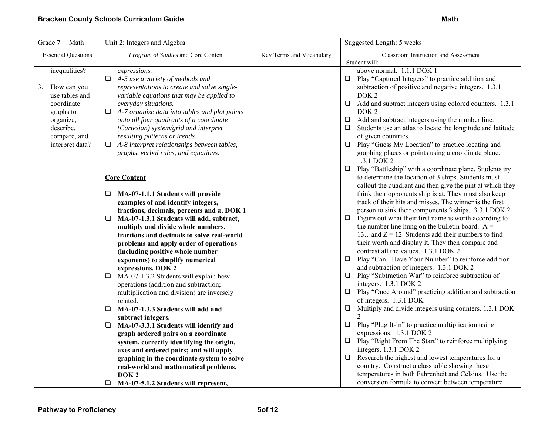| Grade 7<br>Math                     | Unit 2: Integers and Algebra                                      |                          | Suggested Length: 5 weeks                                                               |
|-------------------------------------|-------------------------------------------------------------------|--------------------------|-----------------------------------------------------------------------------------------|
| <b>Essential Questions</b>          | Program of Studies and Core Content                               | Key Terms and Vocabulary | Classroom Instruction and Assessment                                                    |
|                                     |                                                                   |                          | Student will:                                                                           |
| inequalities?                       | expressions.                                                      |                          | above normal. 1.1.1 DOK 1                                                               |
|                                     | A-5 use a variety of methods and<br>⊔                             |                          | □ Play "Captured Integers" to practice addition and                                     |
| How can you<br>3.<br>use tables and | representations to create and solve single-                       |                          | subtraction of positive and negative integers. 1.3.1<br>DOK <sub>2</sub>                |
| coordinate                          | variable equations that may be applied to<br>everyday situations. |                          | $\Box$<br>Add and subtract integers using colored counters. 1.3.1                       |
| graphs to                           | A-7 organize data into tables and plot points<br>$\Box$           |                          | DOK <sub>2</sub>                                                                        |
| organize,                           | onto all four quadrants of a coordinate                           |                          | $\Box$ Add and subtract integers using the number line.                                 |
| describe,                           | (Cartesian) system/grid and interpret                             |                          | Students use an atlas to locate the longitude and latitude                              |
| compare, and                        | resulting patterns or trends.                                     |                          | of given countries.                                                                     |
| interpret data?                     | $\Box$ A-8 interpret relationships between tables,                |                          | $\Box$ Play "Guess My Location" to practice locating and                                |
|                                     | graphs, verbal rules, and equations.                              |                          | graphing places or points using a coordinate plane.                                     |
|                                     |                                                                   |                          | 1.3.1 DOK 2                                                                             |
|                                     |                                                                   |                          | □ Play "Battleship" with a coordinate plane. Students try                               |
|                                     | <b>Core Content</b>                                               |                          | to determine the location of 3 ships. Students must                                     |
|                                     |                                                                   |                          | callout the quadrant and then give the pint at which they                               |
|                                     | MA-07-1.1.1 Students will provide<br>⊔                            |                          | think their opponents ship is at. They must also keep                                   |
|                                     | examples of and identify integers,                                |                          | track of their hits and misses. The winner is the first                                 |
|                                     | fractions, decimals, percents and $\pi$ . DOK 1                   |                          | person to sink their components 3 ships. 3.3.1 DOK 2                                    |
|                                     | MA-07-1.3.1 Students will add, subtract,<br>⊔                     |                          | $\Box$ Figure out what their first name is worth according to                           |
|                                     | multiply and divide whole numbers,                                |                          | the number line hung on the bulletin board. $A = -$                                     |
|                                     | fractions and decimals to solve real-world                        |                          | 13and $Z = 12$ . Students add their numbers to find                                     |
|                                     | problems and apply order of operations                            |                          | their worth and display it. They then compare and                                       |
|                                     | (including positive whole number                                  |                          | contrast all the values. 1.3.1 DOK 2                                                    |
|                                     | exponents) to simplify numerical                                  |                          | $\Box$ Play "Can I Have Your Number" to reinforce addition                              |
|                                     | expressions. DOK 2                                                |                          | and subtraction of integers. 1.3.1 DOK 2                                                |
|                                     | MA-07-1.3.2 Students will explain how<br>❏                        |                          | $\Box$ Play "Subtraction War" to reinforce subtraction of                               |
|                                     | operations (addition and subtraction;                             |                          | integers. 1.3.1 DOK 2                                                                   |
|                                     | multiplication and division) are inversely<br>related.            |                          | $\Box$ Play "Once Around" practicing addition and subtraction<br>of integers. 1.3.1 DOK |
|                                     | MA-07-1.3.3 Students will add and<br>Q                            |                          | $\Box$ Multiply and divide integers using counters. 1.3.1 DOK                           |
|                                     | subtract integers.                                                |                          | $\overline{2}$                                                                          |
|                                     | MA-07-3.3.1 Students will identify and<br>❏.                      |                          | $\Box$ Play "Plug It-In" to practice multiplication using                               |
|                                     | graph ordered pairs on a coordinate                               |                          | expressions. 1.3.1 DOK 2                                                                |
|                                     | system, correctly identifying the origin,                         |                          | $\Box$ Play "Right From The Start" to reinforce multiplying                             |
|                                     | axes and ordered pairs; and will apply                            |                          | integers. 1.3.1 DOK 2                                                                   |
|                                     | graphing in the coordinate system to solve                        |                          | Research the highest and lowest temperatures for a<br>$\Box$                            |
|                                     | real-world and mathematical problems.                             |                          | country. Construct a class table showing these                                          |
|                                     | DOK <sub>2</sub>                                                  |                          | temperatures in both Fahrenheit and Celsius. Use the                                    |
|                                     | $\Box$<br>MA-07-5.1.2 Students will represent,                    |                          | conversion formula to convert between temperature                                       |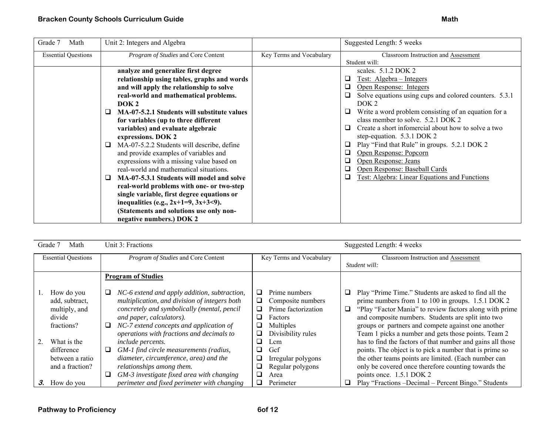| Grade 7<br>Math            | Unit 2: Integers and Algebra                                                                                                                                                                                                                                   |                          | Suggested Length: 5 weeks                                                                                                                                                                        |
|----------------------------|----------------------------------------------------------------------------------------------------------------------------------------------------------------------------------------------------------------------------------------------------------------|--------------------------|--------------------------------------------------------------------------------------------------------------------------------------------------------------------------------------------------|
| <b>Essential Questions</b> | Program of Studies and Core Content                                                                                                                                                                                                                            | Key Terms and Vocabulary | Classroom Instruction and Assessment<br>Student will:                                                                                                                                            |
|                            | analyze and generalize first degree<br>relationship using tables, graphs and words<br>and will apply the relationship to solve                                                                                                                                 |                          | scales. $5.1.2$ DOK 2<br>Test: Algebra – Integers<br>❏<br>Open Response: Integers<br>0                                                                                                           |
|                            | real-world and mathematical problems.<br>DOK <sub>2</sub>                                                                                                                                                                                                      |                          | Solve equations using cups and colored counters. 5.3.1<br>❏.<br>DOK <sub>2</sub>                                                                                                                 |
|                            | MA-07-5.2.1 Students will substitute values<br>⊔<br>for variables (up to three different<br>variables) and evaluate algebraic<br>expressions. DOK 2                                                                                                            |                          | Write a word problem consisting of an equation for a<br>Q.<br>class member to solve. 5.2.1 DOK 2<br>Create a short informercial about how to solve a two<br>$\Box$<br>step-equation. 5.3.1 DOK 2 |
|                            | MA-07-5.2.2 Students will describe, define<br>⊔<br>and provide examples of variables and<br>expressions with a missing value based on<br>real-world and mathematical situations.                                                                               |                          | Play "Find that Rule" in groups. 5.2.1 DOK 2<br>❏<br>Open Response: Popcorn<br>o.<br>o.<br>Open Response: Jeans<br>Open Response: Baseball Cards<br>o.                                           |
|                            | MA-07-5.3.1 Students will model and solve<br>⊔<br>real-world problems with one- or two-step<br>single variable, first degree equations or<br>inequalities (e.g., $2x+1=9$ , $3x+3<9$ ).<br>(Statements and solutions use only non-<br>negative numbers.) DOK 2 |                          | Test: Algebra: Linear Equations and Functions<br>❏                                                                                                                                               |

| Grade 7 | Math                         | Unit 3: Fractions                                                                             |                                                                   | Suggested Length: 4 weeks                                                                                          |
|---------|------------------------------|-----------------------------------------------------------------------------------------------|-------------------------------------------------------------------|--------------------------------------------------------------------------------------------------------------------|
|         | <b>Essential Questions</b>   | Program of Studies and Core Content                                                           | Key Terms and Vocabulary                                          | Classroom Instruction and Assessment                                                                               |
|         |                              |                                                                                               |                                                                   | Student will:                                                                                                      |
|         |                              | <b>Program of Studies</b>                                                                     |                                                                   |                                                                                                                    |
|         | How do you<br>add, subtract, | NC-6 extend and apply addition, subtraction,<br>multiplication, and division of integers both | Prime numbers<br>⊔<br>Composite numbers<br>⊔                      | Play "Prime Time." Students are asked to find all the<br>⊔<br>prime numbers from 1 to 100 in groups. 1.5.1 DOK 2   |
| divide  | multiply, and                | concretely and symbolically (mental, pencil<br>and paper, calculators).                       | Prime factorization<br>❏<br>⊔<br>Factors                          | "Play "Factor Mania" to review factors along with prime<br>❏<br>and composite numbers. Students are split into two |
|         | fractions?                   | NC-7 extend concepts and application of<br>⊔                                                  | Multiples<br>⊔                                                    | groups or partners and compete against one another                                                                 |
|         | What is the                  | operations with fractions and decimals to<br><i>include percents.</i>                         | Divisibility rules<br>⊔<br>□<br>$\mathop{\rm \ldots cm}\nolimits$ | Team 1 picks a number and gets those points. Team 2<br>has to find the factors of that number and gains all those  |
|         | difference                   | GM-1 find circle measurements (radius,<br>⊔                                                   | Gef<br>⊔                                                          | points. The object is to pick a number that is prime so                                                            |
|         | between a ratio              | diameter, circumference, area) and the                                                        | Irregular polygons<br>⊔                                           | the other teams points are limited. (Each number can                                                               |
|         | and a fraction?              | relationships among them.                                                                     | Regular polygons<br>⊔                                             | only be covered once therefore counting towards the                                                                |
|         |                              | GM-3 investigate fixed area with changing                                                     | Area                                                              | points once. 1.5.1 DOK 2                                                                                           |
| З.      | How do you                   | perimeter and fixed perimeter with changing                                                   | Perimeter<br>⊔                                                    | Play "Fractions -Decimal - Percent Bingo." Students                                                                |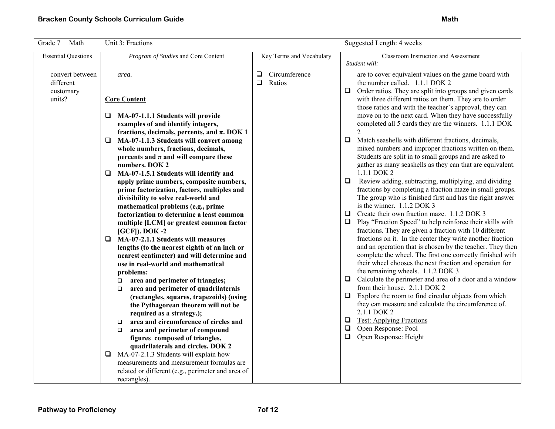| Grade 7<br>Math                                     | Unit 3: Fractions                                                                                                                                                                                                                                                                                                                                                                                                                                                                                                                                                                                                                                                                                                                                                                                                                                                                                                                                                                                                                                                                                                                                                                                                                                                                                                                        |                                             | Suggested Length: 4 weeks                                                                                                                                                                                                                                                                                                                                                                                                                                                                                                                                                                                                                                                                                                                                                                                                                                                                                                                                                                                                                                                                                                                                                                                                                                                                                                                                                                                                                                                                                                                                                                                                                                                                                                                                     |
|-----------------------------------------------------|------------------------------------------------------------------------------------------------------------------------------------------------------------------------------------------------------------------------------------------------------------------------------------------------------------------------------------------------------------------------------------------------------------------------------------------------------------------------------------------------------------------------------------------------------------------------------------------------------------------------------------------------------------------------------------------------------------------------------------------------------------------------------------------------------------------------------------------------------------------------------------------------------------------------------------------------------------------------------------------------------------------------------------------------------------------------------------------------------------------------------------------------------------------------------------------------------------------------------------------------------------------------------------------------------------------------------------------|---------------------------------------------|---------------------------------------------------------------------------------------------------------------------------------------------------------------------------------------------------------------------------------------------------------------------------------------------------------------------------------------------------------------------------------------------------------------------------------------------------------------------------------------------------------------------------------------------------------------------------------------------------------------------------------------------------------------------------------------------------------------------------------------------------------------------------------------------------------------------------------------------------------------------------------------------------------------------------------------------------------------------------------------------------------------------------------------------------------------------------------------------------------------------------------------------------------------------------------------------------------------------------------------------------------------------------------------------------------------------------------------------------------------------------------------------------------------------------------------------------------------------------------------------------------------------------------------------------------------------------------------------------------------------------------------------------------------------------------------------------------------------------------------------------------------|
| <b>Essential Questions</b>                          | Program of Studies and Core Content                                                                                                                                                                                                                                                                                                                                                                                                                                                                                                                                                                                                                                                                                                                                                                                                                                                                                                                                                                                                                                                                                                                                                                                                                                                                                                      | Key Terms and Vocabulary                    | Classroom Instruction and Assessment<br>Student will:                                                                                                                                                                                                                                                                                                                                                                                                                                                                                                                                                                                                                                                                                                                                                                                                                                                                                                                                                                                                                                                                                                                                                                                                                                                                                                                                                                                                                                                                                                                                                                                                                                                                                                         |
| convert between<br>different<br>customary<br>units? | area.<br><b>Core Content</b><br>MA-07-1.1.1 Students will provide<br>❏<br>examples of and identify integers,<br>fractions, decimals, percents, and $\pi$ . DOK 1<br>MA-07-1.1.3 Students will convert among<br>□<br>whole numbers, fractions, decimals,<br>percents and $\pi$ and will compare these<br>numbers. DOK 2<br>MA-07-1.5.1 Students will identify and<br>❏<br>apply prime numbers, composite numbers,<br>prime factorization, factors, multiples and<br>divisibility to solve real-world and<br>mathematical problems (e.g., prime<br>factorization to determine a least common<br>multiple [LCM] or greatest common factor<br>$[GCF]$ ). DOK -2<br>MA-07-2.1.1 Students will measures<br>$\Box$<br>lengths (to the nearest eighth of an inch or<br>nearest centimeter) and will determine and<br>use in real-world and mathematical<br>problems:<br>area and perimeter of triangles;<br>о<br>area and perimeter of quadrilaterals<br>$\Box$<br>(rectangles, squares, trapezoids) (using<br>the Pythagorean theorem will not be<br>required as a strategy.);<br>area and circumference of circles and<br>$\Box$<br>area and perimeter of compound<br>$\Box$<br>figures composed of triangles,<br>quadrilaterals and circles. DOK 2<br>MA-07-2.1.3 Students will explain how<br>⊔<br>measurements and measurement formulas are | Circumference<br>$\Box$<br>$\Box$<br>Ratios | are to cover equivalent values on the game board with<br>the number called. 1.1.1 DOK 2<br>Order ratios. They are split into groups and given cards<br>$\Box$<br>with three different ratios on them. They are to order<br>those ratios and with the teacher's approval, they can<br>move on to the next card. When they have successfully<br>completed all 5 cards they are the winners. 1.1.1 DOK<br>$\overline{2}$<br>Match seashells with different fractions, decimals,<br>$\Box$<br>mixed numbers and improper fractions written on them.<br>Students are split in to small groups and are asked to<br>gather as many seashells as they can that are equivalent.<br>1.1.1 DOK 2<br>$\Box$<br>Review adding, subtracting, multiplying, and dividing<br>fractions by completing a fraction maze in small groups.<br>The group who is finished first and has the right answer<br>is the winner. 1.1.2 DOK 3<br>$\Box$ Create their own fraction maze. 1.1.2 DOK 3<br>$\Box$<br>Play "Fraction Speed" to help reinforce their skills with<br>fractions. They are given a fraction with 10 different<br>fractions on it. In the center they write another fraction<br>and an operation that is chosen by the teacher. They then<br>complete the wheel. The first one correctly finished with<br>their wheel chooses the next fraction and operation for<br>the remaining wheels. 1.1.2 DOK 3<br>Calculate the perimeter and area of a door and a window<br>$\Box$<br>from their house. 2.1.1 DOK 2<br>$\Box$<br>Explore the room to find circular objects from which<br>they can measure and calculate the circumference of.<br>2.1.1 DOK 2<br><b>Test: Applying Fractions</b><br>$\Box$<br>$\Box$<br>Open Response: Pool<br>$\Box$<br>Open Response: Height |
|                                                     | related or different (e.g., perimeter and area of<br>rectangles).                                                                                                                                                                                                                                                                                                                                                                                                                                                                                                                                                                                                                                                                                                                                                                                                                                                                                                                                                                                                                                                                                                                                                                                                                                                                        |                                             |                                                                                                                                                                                                                                                                                                                                                                                                                                                                                                                                                                                                                                                                                                                                                                                                                                                                                                                                                                                                                                                                                                                                                                                                                                                                                                                                                                                                                                                                                                                                                                                                                                                                                                                                                               |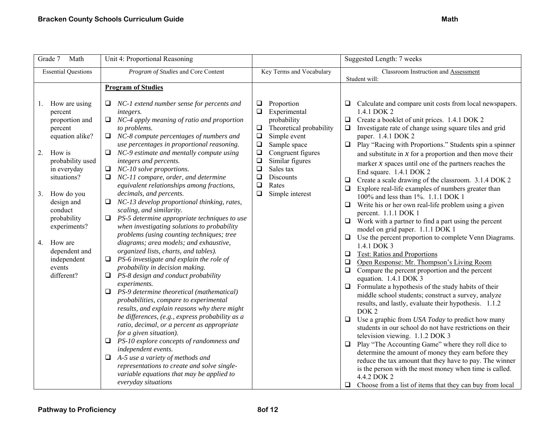| Math<br>Grade 7                                                                                                                                                                                                                                                                                       | Unit 4: Proportional Reasoning                                                                                                                                                                                                                                                                                                                                                                                                                                                                                                                                                                                                                                                                                                                                                                                                                                                                                                                                                                                                                                                                                                                                                                                                                                                                                                                                                                                                                                 |                                                                                                                                                                                                                                                                                                             | Suggested Length: 7 weeks                                                                                                                                                                                                                                                                                                                                                                                                                                                                                                                                                                                                                                                                                                                                                                                                                                                                                                                                                                                                                                                                                                                                                                                                                                                                                                                                                                                                                                                                                                                                                                                                                                                                                                                         |
|-------------------------------------------------------------------------------------------------------------------------------------------------------------------------------------------------------------------------------------------------------------------------------------------------------|----------------------------------------------------------------------------------------------------------------------------------------------------------------------------------------------------------------------------------------------------------------------------------------------------------------------------------------------------------------------------------------------------------------------------------------------------------------------------------------------------------------------------------------------------------------------------------------------------------------------------------------------------------------------------------------------------------------------------------------------------------------------------------------------------------------------------------------------------------------------------------------------------------------------------------------------------------------------------------------------------------------------------------------------------------------------------------------------------------------------------------------------------------------------------------------------------------------------------------------------------------------------------------------------------------------------------------------------------------------------------------------------------------------------------------------------------------------|-------------------------------------------------------------------------------------------------------------------------------------------------------------------------------------------------------------------------------------------------------------------------------------------------------------|---------------------------------------------------------------------------------------------------------------------------------------------------------------------------------------------------------------------------------------------------------------------------------------------------------------------------------------------------------------------------------------------------------------------------------------------------------------------------------------------------------------------------------------------------------------------------------------------------------------------------------------------------------------------------------------------------------------------------------------------------------------------------------------------------------------------------------------------------------------------------------------------------------------------------------------------------------------------------------------------------------------------------------------------------------------------------------------------------------------------------------------------------------------------------------------------------------------------------------------------------------------------------------------------------------------------------------------------------------------------------------------------------------------------------------------------------------------------------------------------------------------------------------------------------------------------------------------------------------------------------------------------------------------------------------------------------------------------------------------------------|
| <b>Essential Questions</b>                                                                                                                                                                                                                                                                            | Program of Studies and Core Content                                                                                                                                                                                                                                                                                                                                                                                                                                                                                                                                                                                                                                                                                                                                                                                                                                                                                                                                                                                                                                                                                                                                                                                                                                                                                                                                                                                                                            | Key Terms and Vocabulary                                                                                                                                                                                                                                                                                    | Classroom Instruction and Assessment<br>Student will:                                                                                                                                                                                                                                                                                                                                                                                                                                                                                                                                                                                                                                                                                                                                                                                                                                                                                                                                                                                                                                                                                                                                                                                                                                                                                                                                                                                                                                                                                                                                                                                                                                                                                             |
|                                                                                                                                                                                                                                                                                                       | <b>Program of Studies</b>                                                                                                                                                                                                                                                                                                                                                                                                                                                                                                                                                                                                                                                                                                                                                                                                                                                                                                                                                                                                                                                                                                                                                                                                                                                                                                                                                                                                                                      |                                                                                                                                                                                                                                                                                                             |                                                                                                                                                                                                                                                                                                                                                                                                                                                                                                                                                                                                                                                                                                                                                                                                                                                                                                                                                                                                                                                                                                                                                                                                                                                                                                                                                                                                                                                                                                                                                                                                                                                                                                                                                   |
| How are using<br>1.<br>percent<br>proportion and<br>percent<br>equation alike?<br>How is<br>2.<br>probability used<br>in everyday<br>situations?<br>How do you<br>3.<br>design and<br>conduct<br>probability<br>experiments?<br>How are<br>4.<br>dependent and<br>independent<br>events<br>different? | $\Box$ NC-1 extend number sense for percents and<br>integers.<br>$\Box$ NC-4 apply meaning of ratio and proportion<br>to problems.<br>$\Box$ NC-8 compute percentages of numbers and<br>use percentages in proportional reasoning.<br>$\Box$ NC-9 estimate and mentally compute using<br>integers and percents.<br>$\Box$ NC-10 solve proportions.<br>NC-11 compare, order, and determine<br>equivalent relationships among fractions,<br>decimals, and percents.<br>$\Box$ NC-13 develop proportional thinking, rates,<br>scaling, and similarity.<br>$\Box$ PS-5 determine appropriate techniques to use<br>when investigating solutions to probability<br>problems (using counting techniques; tree<br>diagrams; area models; and exhaustive,<br>organized lists, charts, and tables).<br>$\Box$ PS-6 investigate and explain the role of<br>probability in decision making.<br>$\Box$ PS-8 design and conduct probability<br>experiments.<br>PS-9 determine theoretical (mathematical)<br>❏<br>probabilities, compare to experimental<br>results, and explain reasons why there might<br>be differences, (e.g., express probability as a<br>ratio, decimal, or a percent as appropriate<br>for a given situation).<br>$\Box$ PS-10 explore concepts of randomness and<br>independent events.<br>$\Box$ A-5 use a variety of methods and<br>representations to create and solve single-<br>variable equations that may be applied to<br>everyday situations | Proportion<br>$\Box$<br>Experimental<br>$\Box$<br>probability<br>$\Box$<br>Theoretical probability<br>$\Box$<br>Simple event<br>$\Box$<br>Sample space<br>$\Box$<br>Congruent figures<br>$\Box$<br>Similar figures<br>$\Box$<br>Sales tax<br>$\Box$<br>Discounts<br>Rates<br>$\Box$<br>□<br>Simple interest | $\Box$ Calculate and compare unit costs from local newspapers.<br>1.4.1 DOK 2<br>$\Box$ Create a booklet of unit prices. 1.4.1 DOK 2<br>$\Box$ Investigate rate of change using square tiles and grid<br>paper. 1.4.1 DOK 2<br>$\Box$ Play "Racing with Proportions." Students spin a spinner<br>and substitute in $x$ for a proportion and then move their<br>marker $x$ spaces until one of the partners reaches the<br>End square. 1.4.1 DOK 2<br>Create a scale drawing of the classroom. 3.1.4 DOK 2<br>❏<br>Explore real-life examples of numbers greater than<br>100% and less than 1%. 1.1.1 DOK 1<br>$\Box$ Write his or her own real-life problem using a given<br>percent. 1.1.1 DOK 1<br>$\Box$ Work with a partner to find a part using the percent<br>model on grid paper. 1.1.1 DOK 1<br>Use the percent proportion to complete Venn Diagrams.<br>⊔<br>1.4.1 DOK 3<br><b>Q</b> Test: Ratios and Proportions<br>Open Response: Mr. Thompson's Living Room<br>$\Box$<br>Compare the percent proportion and the percent<br>equation. 1.4.1 DOK 3<br>$\Box$ Formulate a hypothesis of the study habits of their<br>middle school students; construct a survey, analyze<br>results, and lastly, evaluate their hypothesis. 1.1.2<br>DOK <sub>2</sub><br>Use a graphic from USA Today to predict how many<br>□<br>students in our school do not have restrictions on their<br>television viewing. 1.1.2 DOK 3<br>$\Box$ Play "The Accounting Game" where they roll dice to<br>determine the amount of money they earn before they<br>reduce the tax amount that they have to pay. The winner<br>is the person with the most money when time is called.<br>4.4.2 DOK 2<br>$\Box$ Choose from a list of items that they can buy from local |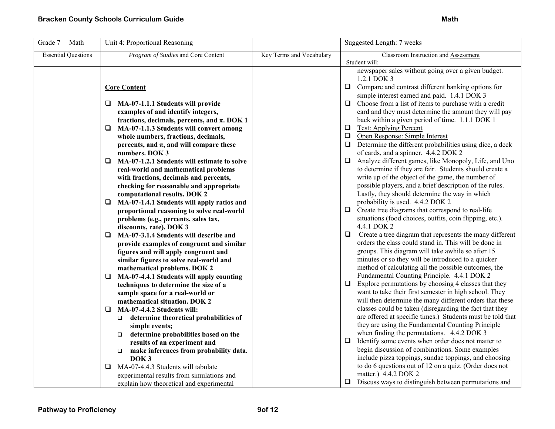| Grade 7<br>Math            | Unit 4: Proportional Reasoning                                                                                                                                                                                                                                                                                                                                                                                                                                                                              |                          | Suggested Length: 7 weeks                                                                                                                                                                                                                                                                                                                                                                                                                                                                                                                                                                                                                                                                                                                              |
|----------------------------|-------------------------------------------------------------------------------------------------------------------------------------------------------------------------------------------------------------------------------------------------------------------------------------------------------------------------------------------------------------------------------------------------------------------------------------------------------------------------------------------------------------|--------------------------|--------------------------------------------------------------------------------------------------------------------------------------------------------------------------------------------------------------------------------------------------------------------------------------------------------------------------------------------------------------------------------------------------------------------------------------------------------------------------------------------------------------------------------------------------------------------------------------------------------------------------------------------------------------------------------------------------------------------------------------------------------|
| <b>Essential Questions</b> | Program of Studies and Core Content                                                                                                                                                                                                                                                                                                                                                                                                                                                                         | Key Terms and Vocabulary | Classroom Instruction and Assessment                                                                                                                                                                                                                                                                                                                                                                                                                                                                                                                                                                                                                                                                                                                   |
|                            | <b>Core Content</b><br>MA-07-1.1.1 Students will provide<br>⊔<br>examples of and identify integers,<br>fractions, decimals, percents, and $\pi$ . DOK 1<br>MA-07-1.1.3 Students will convert among<br>❏<br>whole numbers, fractions, decimals,<br>percents, and $\pi$ , and will compare these<br>numbers. DOK 3<br>MA-07-1.2.1 Students will estimate to solve<br>$\Box$<br>real-world and mathematical problems<br>with fractions, decimals and percents,                                                 |                          | Student will:<br>newspaper sales without going over a given budget.<br>1.2.1 DOK 3<br>$\Box$ Compare and contrast different banking options for<br>simple interest earned and paid. 1.4.1 DOK 3<br>$\Box$ Choose from a list of items to purchase with a credit<br>card and they must determine the amount they will pay<br>back within a given period of time. 1.1.1 DOK 1<br><b>Test: Applying Percent</b><br>$\Box$<br>Open Response: Simple Interest<br>$\Box$<br>$\Box$ Determine the different probabilities using dice, a deck<br>of cards, and a spinner. 4.4.2 DOK 2<br>Analyze different games, like Monopoly, Life, and Uno<br>to determine if they are fair. Students should create a<br>write up of the object of the game, the number of |
|                            | checking for reasonable and appropriate<br>computational results. DOK 2<br>MA-07-1.4.1 Students will apply ratios and<br>❏<br>proportional reasoning to solve real-world<br>problems (e.g., percents, sales tax,<br>discounts, rate). DOK 3<br>MA-07-3.1.4 Students will describe and<br>□<br>provide examples of congruent and similar<br>figures and will apply congruent and<br>similar figures to solve real-world and<br>mathematical problems. DOK 2<br>MA-07-4.4.1 Students will apply counting<br>⊔ |                          | possible players, and a brief description of the rules.<br>Lastly, they should determine the way in which<br>probability is used. 4.4.2 DOK 2<br>$\Box$ Create tree diagrams that correspond to real-life<br>situations (food choices, outfits, coin flipping, etc.).<br>4.4.1 DOK 2<br>Create a tree diagram that represents the many different<br>$\Box$<br>orders the class could stand in. This will be done in<br>groups. This diagram will take awhile so after 15<br>minutes or so they will be introduced to a quicker<br>method of calculating all the possible outcomes, the<br>Fundamental Counting Principle. 4.4.1 DOK 2                                                                                                                  |
|                            | techniques to determine the size of a<br>sample space for a real-world or<br>mathematical situation. DOK 2<br>MA-07-4.4.2 Students will:<br>❏<br>determine theoretical probabilities of<br>simple events;<br>determine probabilities based on the<br>$\Box$<br>results of an experiment and<br>make inferences from probability data.<br>$\Box$<br>DOK <sub>3</sub><br>MA-07-4.4.3 Students will tabulate<br>❏<br>experimental results from simulations and<br>explain how theoretical and experimental     |                          | Explore permutations by choosing 4 classes that they<br>$\Box$<br>want to take their first semester in high school. They<br>will then determine the many different orders that these<br>classes could be taken (disregarding the fact that they<br>are offered at specific times.) Students must be told that<br>they are using the Fundamental Counting Principle<br>when finding the permutations. 4.4.2 DOK 3<br>Identify some events when order does not matter to<br>$\Box$<br>begin discussion of combinations. Some examples<br>include pizza toppings, sundae toppings, and choosing<br>to do 6 questions out of 12 on a quiz. (Order does not<br>matter.) 4.4.2 DOK 2<br>$\Box$ Discuss ways to distinguish between permutations and          |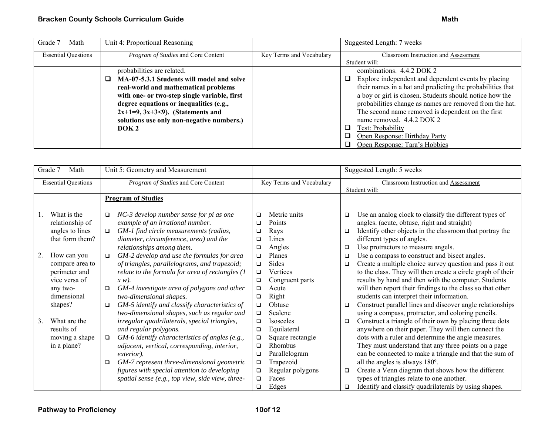| Grade 7<br>Math            | Unit 4: Proportional Reasoning               |                          | Suggested Length: 7 weeks                                     |
|----------------------------|----------------------------------------------|--------------------------|---------------------------------------------------------------|
| <b>Essential Questions</b> | <i>Program of Studies</i> and Core Content   | Key Terms and Vocabulary | Classroom Instruction and Assessment                          |
|                            |                                              |                          | Student will:                                                 |
|                            | probabilities are related.                   |                          | combinations. 4.4.2 DOK 2                                     |
|                            | MA-07-5.3.1 Students will model and solve    |                          | Explore independent and dependent events by placing<br>$\Box$ |
|                            | real-world and mathematical problems         |                          | their names in a hat and predicting the probabilities that    |
|                            | with one- or two-step single variable, first |                          | a boy or girl is chosen. Students should notice how the       |
|                            | degree equations or inequalities (e.g.,      |                          | probabilities change as names are removed from the hat.       |
|                            | $2x+1=9, 3x+3<9$ . (Statements and           |                          | The second name removed is dependent on the first             |
|                            | solutions use only non-negative numbers.)    |                          | name removed. 4.4.2 DOK 2                                     |
|                            | DOK <sub>2</sub>                             |                          | Test: Probability<br>ப                                        |
|                            |                                              |                          | Open Response: Birthday Party<br>❏                            |
|                            |                                              |                          | Open Response: Tara's Hobbies<br>┚                            |

| Grade 7<br>Math                                                                             | Unit 5: Geometry and Measurement                                                                                                                                                                                                                                                                                                                                                             |                                                                                                                                                                                                          | Suggested Length: 5 weeks                                                                                                                                                                                                                                                                                                                                                                                                                                                                                 |
|---------------------------------------------------------------------------------------------|----------------------------------------------------------------------------------------------------------------------------------------------------------------------------------------------------------------------------------------------------------------------------------------------------------------------------------------------------------------------------------------------|----------------------------------------------------------------------------------------------------------------------------------------------------------------------------------------------------------|-----------------------------------------------------------------------------------------------------------------------------------------------------------------------------------------------------------------------------------------------------------------------------------------------------------------------------------------------------------------------------------------------------------------------------------------------------------------------------------------------------------|
| <b>Essential Questions</b>                                                                  | Program of Studies and Core Content                                                                                                                                                                                                                                                                                                                                                          | Key Terms and Vocabulary                                                                                                                                                                                 | Classroom Instruction and Assessment<br>Student will:                                                                                                                                                                                                                                                                                                                                                                                                                                                     |
|                                                                                             | <b>Program of Studies</b>                                                                                                                                                                                                                                                                                                                                                                    |                                                                                                                                                                                                          |                                                                                                                                                                                                                                                                                                                                                                                                                                                                                                           |
| What is the<br>relationship of<br>angles to lines<br>that form them?                        | NC-3 develop number sense for pi as one<br>$\Box$<br>example of an irrational number.<br>GM-1 find circle measurements (radius,<br>$\Box$<br>diameter, circumference, area) and the<br>relationships among them.                                                                                                                                                                             | Metric units<br>$\Box$<br>Points<br>$\Box$<br>Rays<br>$\Box$<br>Lines<br>□<br>Angles<br>□                                                                                                                | Use an analog clock to classify the different types of<br>□<br>angles. (acute, obtuse, right and straight)<br>Identify other objects in the classroom that portray the<br>$\Box$<br>different types of angles.<br>Use protractors to measure angels.<br>$\Box$                                                                                                                                                                                                                                            |
| How can you<br>2.<br>compare area to<br>perimeter and<br>vice versa of<br>any two-          | GM-2 develop and use the formulas for area<br>$\Box$<br>of triangles, parallelograms, and trapezoid;<br>relate to the formula for area of rectangles (1<br>$x w$ ).<br>GM-4 investigate area of polygons and other<br>$\Box$                                                                                                                                                                 | Planes<br>$\Box$<br><b>Sides</b><br>□<br>Vertices<br>$\Box$<br>Congruent parts<br>$\Box$<br>Acute<br>□                                                                                                   | Use a compass to construct and bisect angles.<br>$\Box$<br>Create a multiple choice survey question and pass it out<br>□<br>to the class. They will then create a circle graph of their<br>results by hand and then with the computer. Students<br>will then report their findings to the class so that other                                                                                                                                                                                             |
| dimensional<br>shapes?<br>What are the<br>3.<br>results of<br>moving a shape<br>in a plane? | two-dimensional shapes.<br>GM-5 identify and classify characteristics of<br>$\Box$<br>two-dimensional shapes, such as regular and<br>irregular quadrilaterals, special triangles,<br>and regular polygons.<br>GM-6 identify characteristics of angles (e.g.,<br>$\Box$<br>adjacent, vertical, corresponding, interior,<br>exterior).<br>GM-7 represent three-dimensional geometric<br>$\Box$ | Right<br>$\Box$<br>Obtuse<br>$\Box$<br>Scalene<br>$\Box$<br>Isosceles<br>$\Box$<br>Equilateral<br>$\Box$<br>Square rectangle<br>$\Box$<br>Rhombus<br>□<br>Parallelogram<br>$\Box$<br>Trapezoid<br>$\Box$ | students can interpret their information.<br>Construct parallel lines and discover angle relationships<br>$\Box$<br>using a compass, protractor, and coloring pencils.<br>Construct a triangle of their own by placing three dots<br>□<br>anywhere on their paper. They will then connect the<br>dots with a ruler and determine the angle measures.<br>They must understand that any three points on a page<br>can be connected to make a triangle and that the sum of<br>all the angles is always 180°. |
|                                                                                             | figures with special attention to developing<br>spatial sense (e.g., top view, side view, three-                                                                                                                                                                                                                                                                                             | Regular polygons<br>$\Box$<br>Faces<br>□<br>Edges<br>□                                                                                                                                                   | Create a Venn diagram that shows how the different<br>□<br>types of triangles relate to one another.<br>Identify and classify quadrilaterals by using shapes.<br>□                                                                                                                                                                                                                                                                                                                                        |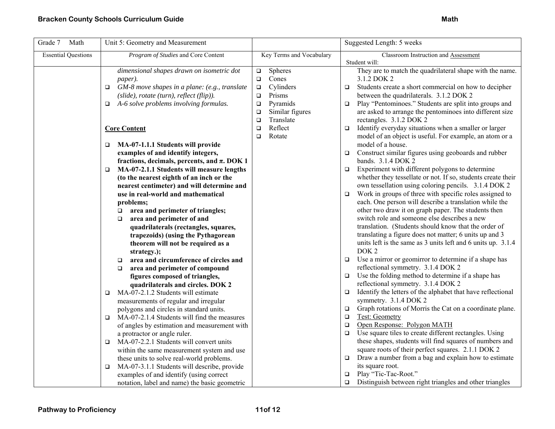| Grade 7<br>Math            | Unit 5: Geometry and Measurement                                                                                                                                                                                                                                                                                                                                                                                                                                                                                                                                                                                                                                                                                                                                                                                                                                                                                                                                                                                                 |                                                                                                                                                                                                    | Suggested Length: 5 weeks                                                                                                                                                                                                                                                                                                                                                                                                                                                                                                                                                                                                                                                                                                                                                                                                                                                                                                                                                                                                                                                                                                                                                                                                                                                                                                                                                                                                                                                                                                             |
|----------------------------|----------------------------------------------------------------------------------------------------------------------------------------------------------------------------------------------------------------------------------------------------------------------------------------------------------------------------------------------------------------------------------------------------------------------------------------------------------------------------------------------------------------------------------------------------------------------------------------------------------------------------------------------------------------------------------------------------------------------------------------------------------------------------------------------------------------------------------------------------------------------------------------------------------------------------------------------------------------------------------------------------------------------------------|----------------------------------------------------------------------------------------------------------------------------------------------------------------------------------------------------|---------------------------------------------------------------------------------------------------------------------------------------------------------------------------------------------------------------------------------------------------------------------------------------------------------------------------------------------------------------------------------------------------------------------------------------------------------------------------------------------------------------------------------------------------------------------------------------------------------------------------------------------------------------------------------------------------------------------------------------------------------------------------------------------------------------------------------------------------------------------------------------------------------------------------------------------------------------------------------------------------------------------------------------------------------------------------------------------------------------------------------------------------------------------------------------------------------------------------------------------------------------------------------------------------------------------------------------------------------------------------------------------------------------------------------------------------------------------------------------------------------------------------------------|
| <b>Essential Questions</b> | Program of Studies and Core Content                                                                                                                                                                                                                                                                                                                                                                                                                                                                                                                                                                                                                                                                                                                                                                                                                                                                                                                                                                                              | Key Terms and Vocabulary                                                                                                                                                                           | Classroom Instruction and Assessment                                                                                                                                                                                                                                                                                                                                                                                                                                                                                                                                                                                                                                                                                                                                                                                                                                                                                                                                                                                                                                                                                                                                                                                                                                                                                                                                                                                                                                                                                                  |
|                            | dimensional shapes drawn on isometric dot<br>paper).<br>GM-8 move shapes in a plane: (e.g., translate<br>$\Box$<br>(slide), rotate (turn), reflect (flip)).<br>A-6 solve problems involving formulas.<br>$\Box$<br><b>Core Content</b><br>MA-07-1.1.1 Students will provide<br>$\Box$<br>examples of and identify integers,<br>fractions, decimals, percents, and $\pi$ . DOK 1<br>MA-07-2.1.1 Students will measure lengths<br>$\Box$<br>(to the nearest eighth of an inch or the<br>nearest centimeter) and will determine and<br>use in real-world and mathematical<br>problems;<br>area and perimeter of triangles;<br>$\Box$<br>area and perimeter of and<br>$\Box$<br>quadrilaterals (rectangles, squares,<br>trapezoids) (using the Pythagorean<br>theorem will not be required as a<br>strategy.);<br>area and circumference of circles and<br>$\Box$<br>area and perimeter of compound<br>$\Box$<br>figures composed of triangles,<br>quadrilaterals and circles. DOK 2<br>MA-07-2.1.2 Students will estimate<br>$\Box$ | Spheres<br>$\Box$<br>Cones<br>$\Box$<br>Cylinders<br>$\Box$<br>Prisms<br>$\Box$<br>Pyramids<br>$\Box$<br>Similar figures<br>$\Box$<br>Translate<br>$\Box$<br>Reflect<br>$\Box$<br>Rotate<br>$\Box$ | Student will:<br>They are to match the quadrilateral shape with the name.<br>3.1.2 DOK 2<br>Students create a short commercial on how to decipher<br>$\Box$<br>between the quadrilaterals. 3.1.2 DOK 2<br>Play "Pentominoes." Students are split into groups and<br>$\Box$<br>are asked to arrange the pentominoes into different size<br>rectangles. 3.1.2 DOK 2<br>Identify everyday situations when a smaller or larger<br>$\Box$<br>model of an object is useful. For example, an atom or a<br>model of a house.<br>Construct similar figures using geoboards and rubber<br>$\Box$<br>bands. 3.1.4 DOK 2<br>Experiment with different polygons to determine<br>$\Box$<br>whether they tessellate or not. If so, students create their<br>own tessellation using coloring pencils. 3.1.4 DOK 2<br>Work in groups of three with specific roles assigned to<br>$\Box$<br>each. One person will describe a translation while the<br>other two draw it on graph paper. The students then<br>switch role and someone else describes a new<br>translation. (Students should know that the order of<br>translating a figure does not matter; 6 units up and 3<br>units left is the same as 3 units left and 6 units up. 3.1.4<br>DOK <sub>2</sub><br>Use a mirror or geomirror to determine if a shape has<br>$\Box$<br>reflectional symmetry. 3.1.4 DOK 2<br>Use the folding method to determine if a shape has<br>$\Box$<br>reflectional symmetry. 3.1.4 DOK 2<br>Identify the letters of the alphabet that have reflectional<br>$\Box$ |
|                            |                                                                                                                                                                                                                                                                                                                                                                                                                                                                                                                                                                                                                                                                                                                                                                                                                                                                                                                                                                                                                                  |                                                                                                                                                                                                    |                                                                                                                                                                                                                                                                                                                                                                                                                                                                                                                                                                                                                                                                                                                                                                                                                                                                                                                                                                                                                                                                                                                                                                                                                                                                                                                                                                                                                                                                                                                                       |
|                            | measurements of regular and irregular<br>polygons and circles in standard units.                                                                                                                                                                                                                                                                                                                                                                                                                                                                                                                                                                                                                                                                                                                                                                                                                                                                                                                                                 |                                                                                                                                                                                                    | symmetry. 3.1.4 DOK 2<br>Graph rotations of Morris the Cat on a coordinate plane.<br>$\Box$                                                                                                                                                                                                                                                                                                                                                                                                                                                                                                                                                                                                                                                                                                                                                                                                                                                                                                                                                                                                                                                                                                                                                                                                                                                                                                                                                                                                                                           |
|                            | MA-07-2.1.4 Students will find the measures<br>$\Box$<br>of angles by estimation and measurement with<br>a protractor or angle ruler.                                                                                                                                                                                                                                                                                                                                                                                                                                                                                                                                                                                                                                                                                                                                                                                                                                                                                            |                                                                                                                                                                                                    | <b>Test: Geometry</b><br>$\Box$<br>Open Response: Polygon MATH<br>$\Box$<br>Use square tiles to create different rectangles. Using<br>$\Box$                                                                                                                                                                                                                                                                                                                                                                                                                                                                                                                                                                                                                                                                                                                                                                                                                                                                                                                                                                                                                                                                                                                                                                                                                                                                                                                                                                                          |
|                            | MA-07-2.2.1 Students will convert units<br>$\Box$<br>within the same measurement system and use<br>these units to solve real-world problems.                                                                                                                                                                                                                                                                                                                                                                                                                                                                                                                                                                                                                                                                                                                                                                                                                                                                                     |                                                                                                                                                                                                    | these shapes, students will find squares of numbers and<br>square roots of their perfect squares. 2.1.1 DOK 2<br>Draw a number from a bag and explain how to estimate<br>□                                                                                                                                                                                                                                                                                                                                                                                                                                                                                                                                                                                                                                                                                                                                                                                                                                                                                                                                                                                                                                                                                                                                                                                                                                                                                                                                                            |
|                            | MA-07-3.1.1 Students will describe, provide<br>$\Box$<br>examples of and identify (using correct<br>notation, label and name) the basic geometric                                                                                                                                                                                                                                                                                                                                                                                                                                                                                                                                                                                                                                                                                                                                                                                                                                                                                |                                                                                                                                                                                                    | its square root.<br>Play "Tic-Tac-Root."<br>$\Box$<br>Distinguish between right triangles and other triangles<br>$\Box$                                                                                                                                                                                                                                                                                                                                                                                                                                                                                                                                                                                                                                                                                                                                                                                                                                                                                                                                                                                                                                                                                                                                                                                                                                                                                                                                                                                                               |